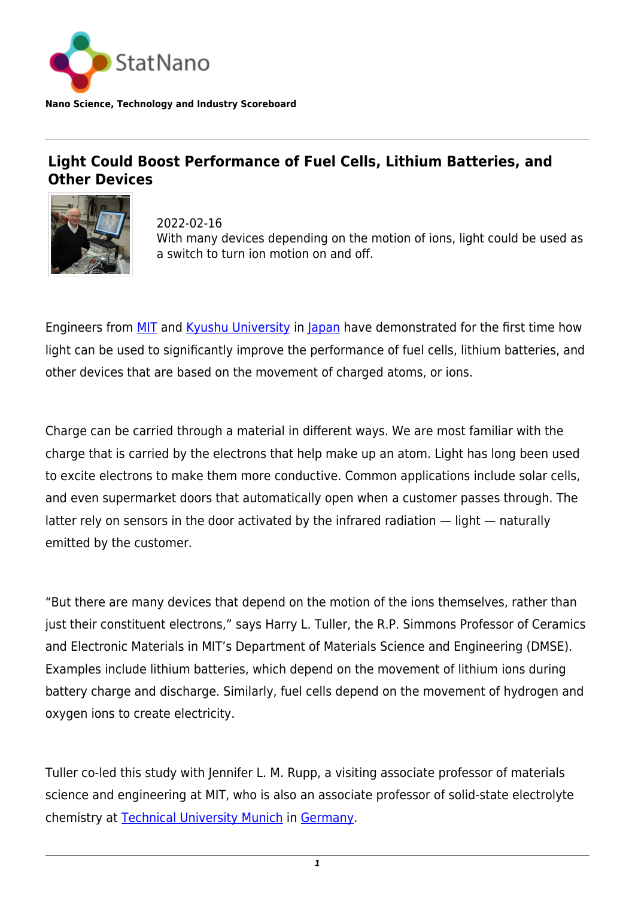

**Nano Science, Technology and Industry Scoreboard**

## **Light Could Boost Performance of Fuel Cells, Lithium Batteries, and Other Devices**



2022-02-16 With many devices depending on the motion of ions, light could be used as a switch to turn ion motion on and off.

Engineers from [MIT](https://statnano.com/org/Massachusetts-Institute-of-Technology) and [Kyushu University](https://statnano.com/org/Kyushu-University) in [Japan](http://statnano.com/country/Japan) have demonstrated for the first time how light can be used to significantly improve the performance of fuel cells, lithium batteries, and other devices that are based on the movement of charged atoms, or ions.

Charge can be carried through a material in different ways. We are most familiar with the charge that is carried by the electrons that help make up an atom. Light has long been used to excite electrons to make them more conductive. Common applications include solar cells, and even supermarket doors that automatically open when a customer passes through. The latter rely on sensors in the door activated by the infrared radiation — light — naturally emitted by the customer.

"But there are many devices that depend on the motion of the ions themselves, rather than just their constituent electrons," says Harry L. Tuller, the R.P. Simmons Professor of Ceramics and Electronic Materials in MIT's Department of Materials Science and Engineering (DMSE). Examples include lithium batteries, which depend on the movement of lithium ions during battery charge and discharge. Similarly, fuel cells depend on the movement of hydrogen and oxygen ions to create electricity.

Tuller co-led this study with Jennifer L. M. Rupp, a visiting associate professor of materials science and engineering at MIT, who is also an associate professor of solid-state electrolyte chemistry at [Technical University Munich](https://statnano.com/org/Technical-University-of-Munich) in [Germany.](http://statnano.com/country/Germany)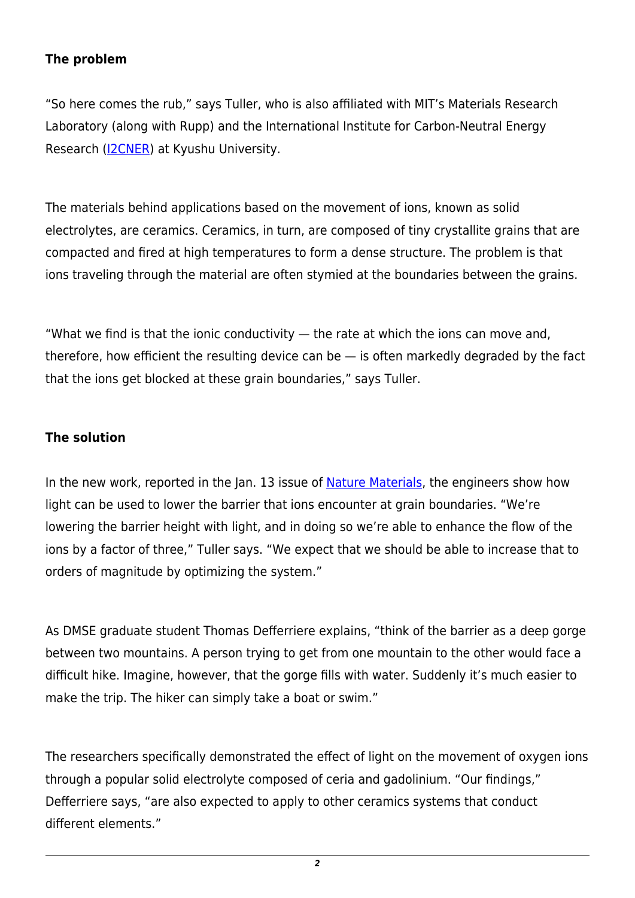## **The problem**

"So here comes the rub," says Tuller, who is also affiliated with MIT's Materials Research Laboratory (along with Rupp) and the International Institute for Carbon-Neutral Energy Research [\(I2CNER](https://i2cner.kyushu-u.ac.jp/en/)) at Kyushu University.

The materials behind applications based on the movement of ions, known as solid electrolytes, are ceramics. Ceramics, in turn, are composed of tiny crystallite grains that are compacted and fired at high temperatures to form a dense structure. The problem is that ions traveling through the material are often stymied at the boundaries between the grains.

"What we find is that the ionic conductivity  $-$  the rate at which the ions can move and, therefore, how efficient the resulting device can be  $-$  is often markedly degraded by the fact that the ions get blocked at these grain boundaries," says Tuller.

## **The solution**

In the new work, reported in the Jan. 13 issue of [Nature Materials,](https://www.nature.com/articles/s41563-021-01181-2) the engineers show how light can be used to lower the barrier that ions encounter at grain boundaries. "We're lowering the barrier height with light, and in doing so we're able to enhance the flow of the ions by a factor of three," Tuller says. "We expect that we should be able to increase that to orders of magnitude by optimizing the system."

As DMSE graduate student Thomas Defferriere explains, "think of the barrier as a deep gorge between two mountains. A person trying to get from one mountain to the other would face a difficult hike. Imagine, however, that the gorge fills with water. Suddenly it's much easier to make the trip. The hiker can simply take a boat or swim."

The researchers specifically demonstrated the effect of light on the movement of oxygen ions through a popular solid electrolyte composed of ceria and gadolinium. "Our findings," Defferriere says, "are also expected to apply to other ceramics systems that conduct different elements."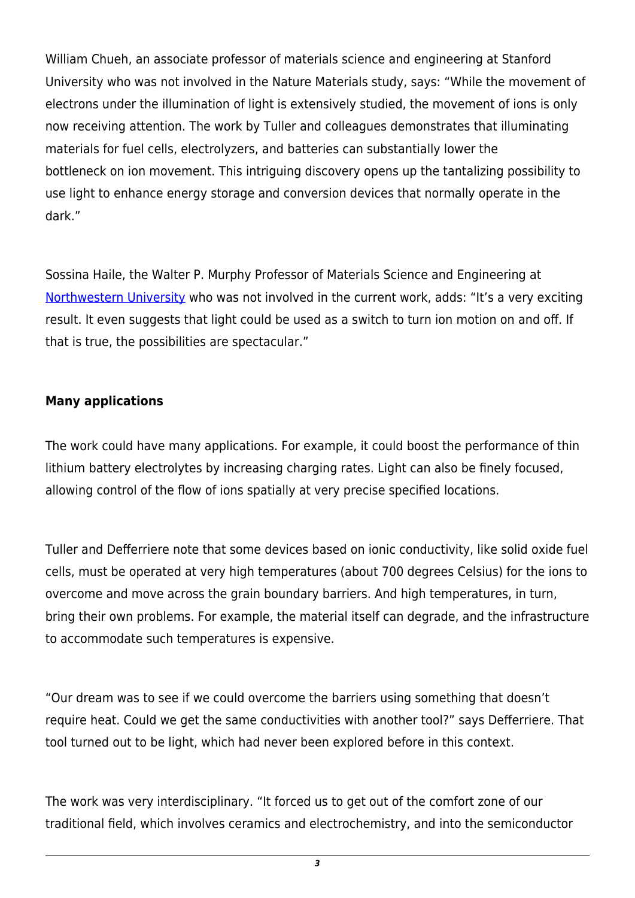William Chueh, an associate professor of materials science and engineering at Stanford University who was not involved in the Nature Materials study, says: "While the movement of electrons under the illumination of light is extensively studied, the movement of ions is only now receiving attention. The work by Tuller and colleagues demonstrates that illuminating materials for fuel cells, electrolyzers, and batteries can substantially lower the bottleneck on ion movement. This intriguing discovery opens up the tantalizing possibility to use light to enhance energy storage and conversion devices that normally operate in the dark."

Sossina Haile, the Walter P. Murphy Professor of Materials Science and Engineering at [Northwestern University](https://statnano.com/org/Northwestern-University) who was not involved in the current work, adds: "It's a very exciting result. It even suggests that light could be used as a switch to turn ion motion on and off. If that is true, the possibilities are spectacular."

## **Many applications**

The work could have many applications. For example, it could boost the performance of thin lithium battery electrolytes by increasing charging rates. Light can also be finely focused, allowing control of the flow of ions spatially at very precise specified locations.

Tuller and Defferriere note that some devices based on ionic conductivity, like solid oxide fuel cells, must be operated at very high temperatures (about 700 degrees Celsius) for the ions to overcome and move across the grain boundary barriers. And high temperatures, in turn, bring their own problems. For example, the material itself can degrade, and the infrastructure to accommodate such temperatures is expensive.

"Our dream was to see if we could overcome the barriers using something that doesn't require heat. Could we get the same conductivities with another tool?" says Defferriere. That tool turned out to be light, which had never been explored before in this context.

The work was very interdisciplinary. "It forced us to get out of the comfort zone of our traditional field, which involves ceramics and electrochemistry, and into the semiconductor

*3*